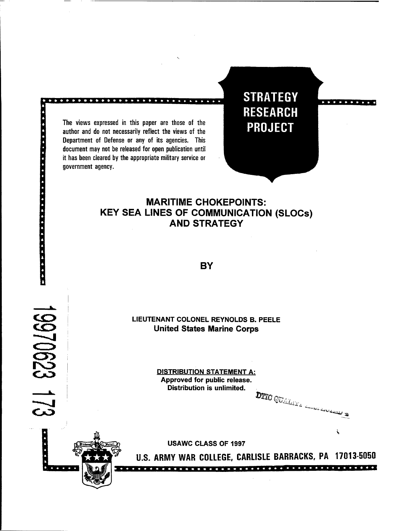The views expressed in this paper are those of the author and do not necessarily reflect the views of the Department of Defense or any of its agencies. This document may not be released for open publication until it has been cleared by the appropriate military service or . government agency.

**STRATEGY RESEARCH PROJECT** 

# **MARITIME CHOKEPOINTS: KEY SEA LINES OF COMMUNICATION (SLOCs) AND STRATEGY**

**BY** 

**n** 

**LIEUTENANT COLONEL REYNOLDS B. PEELE United States Marine Corps** 

> **DISTRIBUTION STATEMENT A: Approved for public release. Distribution is unlimited.**

**DIIC OUTSILLE CONTRACTORY SINES** 



**USAWC CLASS OF 1997** 

**U.S. ARMY WAR COLLEGE, CARLISLE BARRACKS, PA 17013-5050**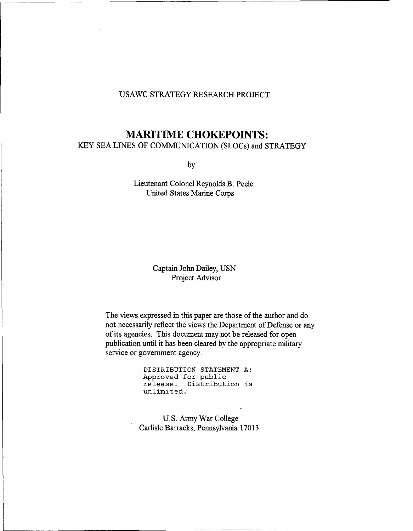# USAWC STRATEGY RESEARCH PROJECT

# **MARITIME CHOKEPOINTS:**

KEY SEA LINES OF COMMUNICATION (SLOCs) and STRATEGY

by

Lieutenant Colonel Reynolds B. Peele United States Marine Corps

> Captain John Dailey, USN Project Advisor

The views expressed in this paper are those of the author and do not necessarily reflect the views the Department of Defense or any of its agencies. This document may not be released for open publication until it has been cleared by the appropriate military service or government agency.

> , **DISTRIBUTION STATEMENT A: Approved for public release. Distribution is unlimited.**

U. S. Army War College Carlisle Barracks, Pennsylvania 17013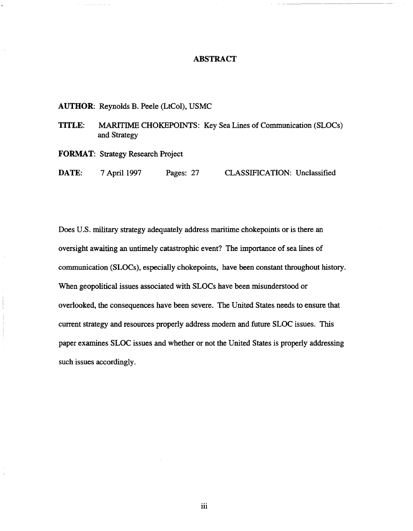## **ABSTRACT**

# AUTHOR: Reynolds B. Peele (LtCol), USMC

# TITLE: MARlTIME CHOKEPOINTS: Key Sea Lines of Communication (SLOCs) and Strategy

FORMAT: Strategy Research Project

DATE: 7 April 1997 Pages: 27 CLASSIFICATION: Unclassified

Does U.S. military strategy adequately address maritime chokepoints or is there an oversight awaiting an untimely catastrophic event? The importance of sea lines of communication (SLOCs), especially chokepoints, have been constant throughout history. When geopolitical issues associated with SLOCs have been misunderstood or overlooked, the consequences have been severe. The United States needs to ensure that current strategy and resources properly address modem and future SLOC issues. This paper examines SLOC issues and whether or not the United States is properly addressing such issues accordingly.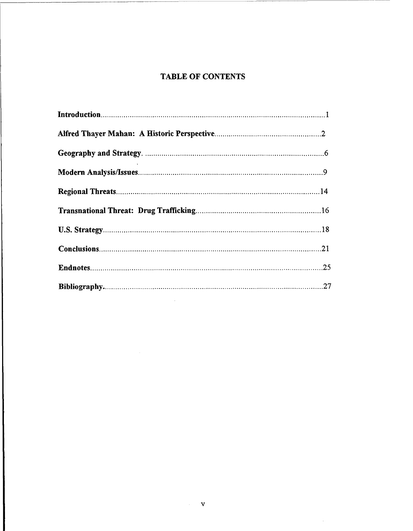# **TABLE OF CONTENTS**

 $\mathcal{A}^{\mathcal{A}}$ 

 $\mathcal{A}^{\mathcal{A}}$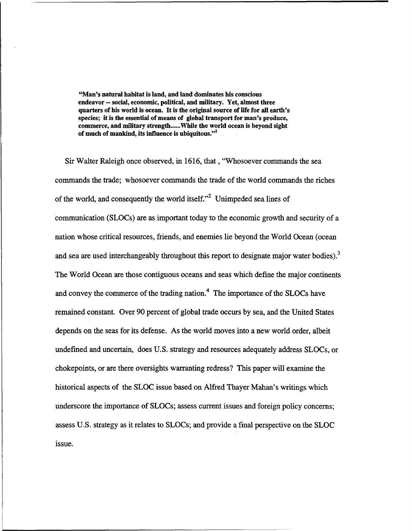**"Man's natural habitat is land, and land dominates his conscious endeavor** -- **social, economic, political, and military. Yet, almost three quarters of his world is ocean. It is the original source of life for all earth's species; it is the essential of means of global transport for man's produce, commerce, and military strength** ...... **While the world ocean is beyond sight of much of mankind, its influence is ubiquitous."'** 

Sir Walter Raleigh once observed, in 1616, that , "Whosoever commands the sea commands the trade; whosoever commands the trade of the world commands the riches of the world, and consequently the world itself."<sup>2</sup> Unimpeded sea lines of communication (SLOCs) are as important today to the economic growth and security of a nation whose critical resources, friends, and enemies lie beyond the World Ocean (ocean and sea are used interchangeably throughout this report to designate major water bodies).<sup>3</sup> The World Ocean are those contiguous oceans and seas which define the major continents and convey the commerce of the trading nation. $<sup>4</sup>$  The importance of the SLOCs have</sup> remained constant. Over 90 percent of global trade occurs by sea, and the United States depends on the seas for its defense. As the world moves into a new world order, albeit undefined and uncertain, does U.S. strategy and resources adequately address SLOCs, or chokepoints, or are there oversights warranting redress? This paper will examine the historical aspects of the SLOC issue based on Alfred Thayer Mahan's writings which underscore the importance of SLOCs; assess current issues and foreign policy concerns; assess U.S. strategy as it relates to SLOCs; and provide a final perspective on the SLOC issue.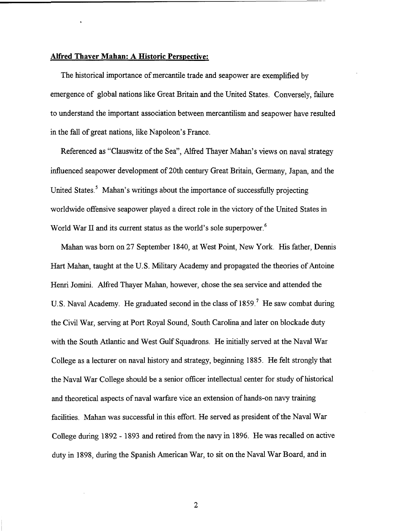#### **Alfred Thayer Mahan: A Historic Perspective:**

The historical importance of mercantile trade and seapower are exemplified by emergence of global nations like Great Britain and the United States. Conversely, failure to understand the important association between mercantilism and seapower have resulted in the fall of great nations, like Napoleon's France.

Referenced as "Clauswitz of the Sea", Alfred Thayer Mahan's views on naval strategy influenced seapower development of 20th century Great Britain, Germany, Japan, and the United States.<sup>5</sup> Mahan's writings about the importance of successfully projecting worldwide offensive seapower played a direct role in the victory of the United States in World War II and its current status as the world's sole superpower.<sup>6</sup>

Mahan was born on 27 September 1840, at West Point, New York. His father, Dennis Hart Mahan, taught at the U.S. Military Academy and propagated the theories of Antoine Henri Jomini. Alfred Thayer Mahan, however, chose the sea service and attended the U.S. Naval Academy. He graduated second in the class of 1859.' He saw combat during the Civil War, serving at Port Royal Sound, South Carolina.and later on blockade duty with the South Atlantic and West Gulf Squadrons. He initially served at the Naval War College as a lecturer on naval history and strategy, beginning 1885. He felt strongly that the Naval War College should be a senior officer intellectual center for study of historical and theoretical aspects of naval warfare vice an extension of hands-on navy training facilities. Mahan was successful in this effort. He served as president of the Naval War College during 1892 - 1893 and retired from the navy in 1896. He was recalled on active duty in 1898, during the Spanish American War, to sit on the Naval War Board, and in

 $\overline{2}$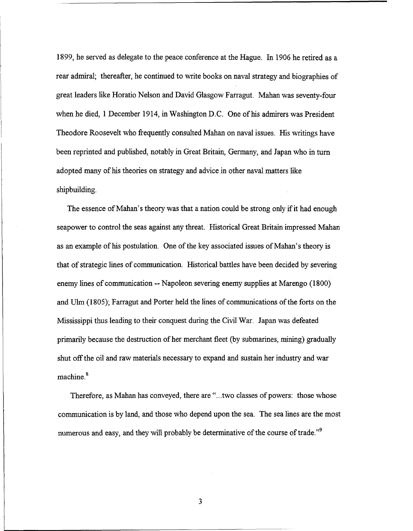1899, he served as delegate to the peace conference at the Hague. In 1906 he retired as a rear admiral; thereafter, he continued to write books on naval strategy and biographies of great leaders like Horatio Nelson and David Glasgow Farragut. Mahan was seventy-four when he died, 1 December 1914, in Washington D.C. One of his admirers was President Theodore Roosevelt who frequently consulted Mahan on naval issues. His writings have been reprinted and published, notably in Great Britain, Germany, and Japan who in turn adopted many of his theories on strategy and advice in other naval matters like shipbuilding.

The essence of Mahan's theory was that a nation could be strong only if it had enough seapower to control the seas against any threat. Historical Great Britain impressed Mahan as an example of his postulation. One of the key associated issues of Mahan's theory is that of strategic lines of communication. Historical battles have been decided by severing enemy lines of communication -- Napoleon severing enemy supplies at Marengo (1800) and Ulm (1805); Farragut and Porter held the lines of communications of the forts on the Mississippi thus leading to their conquest during the Civil War. Japan was defeated primarily because the destruction of her merchant fleet (by submarines, mining) gradually shut off the oil and raw materials necessary to expand and sustain her industry and war machine.<sup>8</sup>

Therefore, as Mahan has conveyed, there are "...two classes of powers: those whose communication is by land, and those who depend upon the sea. The sea lines are the most numerous and easy, and they will probably be determinative of the course of trade."<sup>9</sup>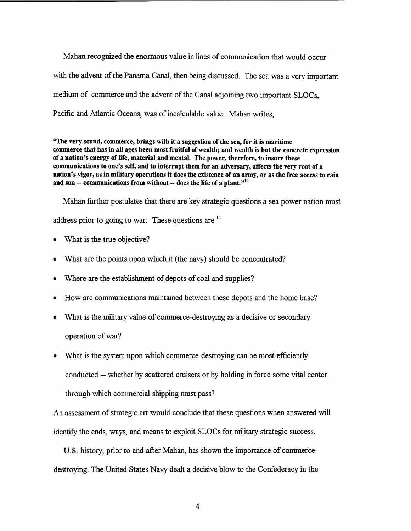Mahan recognized the enormous value in lines of communication that would occur with the advent of the Panama Canal, then being discussed. The sea was a very important medium of commerce and the advent of the Canal adjoining two important SLOCs, Pacific and Atlantic Oceans, was of incalculable value. Mahan writes,

"The very sound, commerce, brings with it a suggestion of the sea, for it is maritime commerce that has in all ages been most fruitful of wealth; and wealth is but the concrete expression of a nation's energy of life, material and mental. The power, therefore, to insure these communications to one's self, and to interrupt them for an adversary, affects the very root of a nation's vigor, as in military operations it does the existence of an army, or as the free access to rain and sun  $-$  communications from without  $-$  does the life of a plant."<sup>10</sup>

Mahan further postulates that there are key strategic questions a sea power nation must address prior to going to war. These questions are  $<sup>11</sup>$ </sup>

- What is the true objective?
- What are the points upon which it (the navy) should be concentrated?
- Where are the establishment of depots of coal and supplies?
- How are communications maintained between these depots and the home base?
- What is the military value of commerce-destroying as a decisive or secondary operation of war?
- What is the system upon which commerce-destroying can be most efficiently conducted -- whether by scattered cruisers or by holding in force some vital center through which commercial shipping must pass?

An assessment of strategic **art** would conclude that these questions when answered will identify the ends, ways, and means to exploit SLOCs for military strategic success.

U. S. history, prior to and after Mahan, has shown the importance of commercedestroying. The United States Navy dealt a decisive blow to the Confederacy in the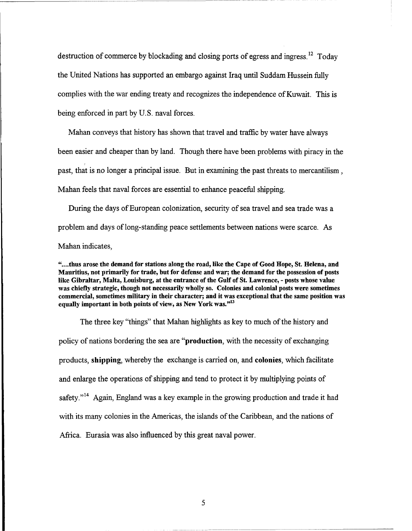destruction of commerce by blockading and closing ports of egress and ingress.<sup>12</sup> Today the United Nations has supported an embargo against Iraq until Suddarn Hussein fully complies with the war ending treaty and recognizes the independence of Kuwait. This is being enforced in part by U.S. naval forces.

Mahan conveys that history has shown that travel and traffic by water have always been easier and cheaper than by land. Though there have been problems with piracy in the past, that is no longer a principal issue. But in examining the past threats to mercantilism, Mahan feels that naval forces are essential to enhance peaceful shipping.

During the days of European colonization, security of sea travel and sea trade was a problem and days of long-standing peace settlements between nations were scarce. As Mahan indicates,

"....thus arose the demand for stations along the road, like the Cape of Good Hope, St. Helena, and Mauritius, not primarily for trade, but for defense and war; the demand for the possession of posts like Gibraltar, Malta, Louisburg, at the entrance of the Gulf of St. Lawrence, - posts whose value was chiefly strategic, though not necessarily wholly so. Colonies and colonial posts were sometimes commercial, sometimes military in their character; and it was exceptional that the same position was equally important in both points of view, as New York was." $13$ 

The three key "things" that Mahan highlights as key to much of the history and policy of nations bordering the sea are "production, with the necessity of exchanging products, shipping, whereby the exchange is carried on, and colonies, which facilitate and enlarge the operations of shipping and tend to protect it by multiplying points of safety."<sup>14</sup> Again, England was a key example in the growing production and trade it had with its many colonies in the Americas, the islands of the Caribbean, and the nations of Africa. Eurasia was also influenced by this great naval power.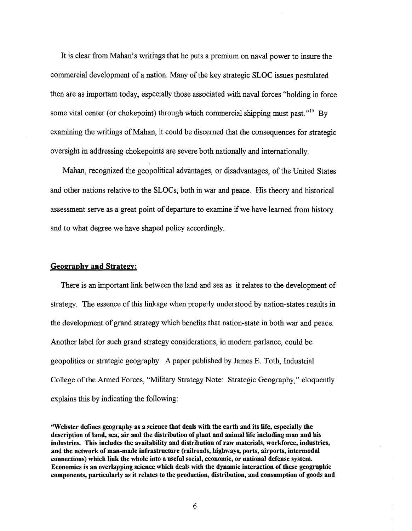It is clear from Mahan's writings that he puts a premium on naval power to insure the commercial development of a nation. Many of the key strategic SLOC issues postulated then are as important today, especially those associated with naval forces "holding in force some vital center (or chokepoint) through which commercial shipping must past."<sup>15</sup> By examining the writings of Mahan, it could be discerned that the consequences for strategic oversight in addressing chokepoints are severe both nationally and internationally.

Mahan, recognized the geopolitical advantages, or disadvantages, of the United States and other nations relative to the SLOCs, both in war and peace. His theory and historical assessment serve as a great point of departure to examine if we have learned from history and to what degree we have shaped policy accordingly.

#### **Geography and Strategy:**

There is an important link between the land and sea as it relates to the development of strategy. The essence of this linkage when properly understood by nation-states results in the development of grand strategy which benefits that nation-state in both war and peace. Another label for such grand strategy considerations, in modern parlance, could be geopolitics or strategic geography. A paper published by James E. Toth, Industrial College of the Armed Forces, "Military Strategy Note: Strategic Geography," eloquently explains this by indicating the following:

<sup>&</sup>quot;Webster defines geography as a science that deals with the earth and its life, especially the description of land, sea, air and the distribution of plant and animal life including man and his industries. This includes the availability and distribution of raw materials, workforce, industries, and the network of man-made infrastructure (railroads, highways, ports, airports, intermodal connections) which link the whole into a useful social, economic, or national defense system. Economics is an overlapping science which deals with the dynamic interaction of these geographic components, particularly as it relates to the production, distribution, and consumption of goods and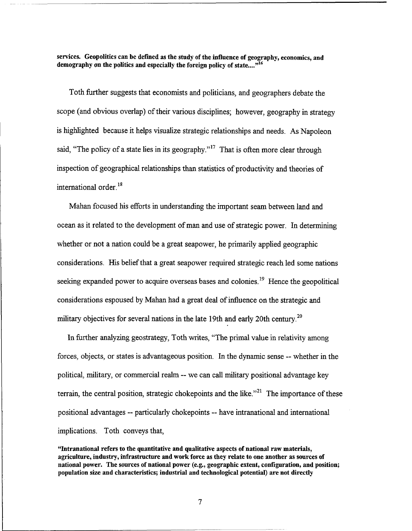services. Geopolitics can be defined as the study of the influence of geography, economics, and demography on the politics and especially the foreign policy of state....<sup>316</sup>

Toth hrther suggests that economists and politicians, and geographers debate the scope (and obvious overlap) of their various disciplines; however, geography in strategy is highlighted because it helps visualize strategic relationships and needs. As Napoleon said, "The policy of a state lies in its geography."<sup>17</sup> That is often more clear through inspection of geographical relationships than statistics of productivity and theories of international order.<sup>18</sup>

Mahan focused his efforts in understanding the important seam between land and ocean as it related to the development of man and use of strategic power. In determining whether or not a nation could be a great seapower, he primarily applied geographic considerations. His belief that a great seapower required strategic reach led some nations seeking expanded power to acquire overseas bases and colonies.<sup>19</sup> Hence the geopolitical considerations espoused by Mahan had a great deal of influence on the strategic and military objectives for several nations in the late 19th and early 20th century.<sup>20</sup>

In further analyzing geostrategy, Toth writes, "The primal value in relativity among forces, objects, or states is advantageous position. In the dynamic sense -- whether in the political, military, or commercial realm -- we can call military positional advantage key terrain, the central position, strategic chokepoints and the like. $"^{21}$  The importance of these positional advantages -- particularly chokepoints -- have intranational and international implications. Toth conveys that,

"Intranational refers to the quantitative and qualitative aspects of national raw materials, agriculture, industry, infrastructure and work force as they relate to one another as sources of national power. The sources of national power (e.g., geographic extent, configuration, and position; population size and characteristics; industrial and technological potential) are not directly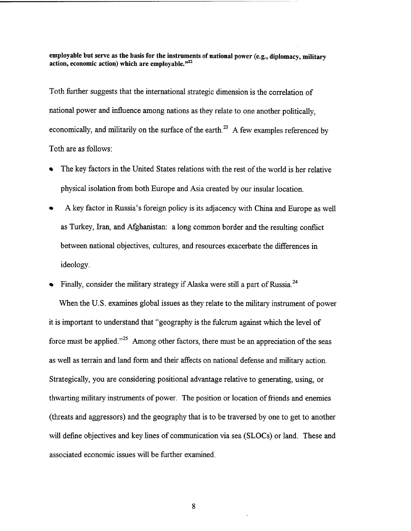**employable but serve as the basis for the instruments of national power (e.g., diplomacy, military action, economic action) which are employable."22** 

Toth further suggests that the international strategic dimension is the correlation of national power and influence among nations as they relate to one another politically, economically, and militarily on the surface of the earth.<sup>23</sup> A few examples referenced by Toth are as follows:

- The key factors in the United States relations with the rest of the world is her relative physical isolation fiom both Europe and Asia created by our insular location.
- A key factor in Russia's foreign policy is its adjacency with China and Europe as well as Turkey, Iran, and Afghanistan: a long common border and the resulting conflict between national objectives, cultures, and resources exacerbate the differences in ideology.
- Finally, consider the military strategy if Alaska were still a part of Russia.<sup>24</sup> When the U.S. examines global issues as they relate to the military instrument of power it is important to understand that "geography is the fulcrum against which the level of force must be applied."<sup>25</sup> Among other factors, there must be an appreciation of the seas as well as terrain and land form and their affects on national defense and military action. Strategically, you are considering positional advantage relative to generating, using, or thwarting military instruments of power. The position or location of friends and enemies (threats and aggressors) and the geography that is to be traversed by one to get to another will define objectives and key lines of communication via sea (SLOCs) or land. These and associated economic issues will be further examined.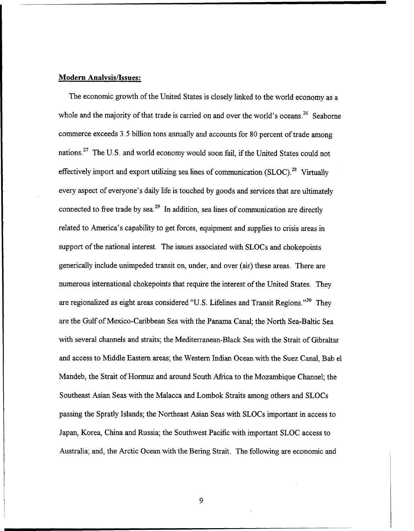## **Modern Analvsis/Issues:**

The economic growth of the United States is closely linked to the world economy as a whole and the majority of that trade is carried on and over the world's oceans.<sup>26</sup> Seaborne commerce exceeds 3.5 billion tons annually and accounts for 80 percent of trade among nations.<sup>27</sup> The U.S. and world economy would soon fail, if the United States could not effectively import and export utilizing sea lines of communication  $(SLOC)^{28}$  Virtually every aspect of everyone's daily life is touched by goods and services that are ultimately connected to free trade by sea.<sup>29</sup> In addition, sea lines of communication are directly related to America's capability to get forces, equipment and supplies to crisis areas in support of the national interest. The issues associated with SLOCs and chokepoints generically include unimpeded transit on, under, and over (air) these areas. There are numerous international chokepoints that require the interest of the United States. They are regionalized as eight areas considered "U.S. Lifelines and Transit Regions."<sup>30</sup> They are the Gulf of Mexico-Caribbean Sea with the Panama Canal; the North Sea-Baltic Sea with several channels and straits; the Mediterranean-Black Sea with the Strait of Gibraltar and access to Middle Eastern areas; the Western Indian Ocean with the Suez Canal, Bab el Mandeb, the Strait of Hormuz and around South Africa to the Mozambique Channel; the Southeast Asian Seas with the Malacca and Lombok Straits among others and SLOCs passing the Spratly Islands; the Northeast Asian Seas with SLOCs important in access to Japan, Korea, China and Russia; the Southwest Pacific with important SLOC access to Australia; and, the Arctic Ocean with the Bering Strait. The following are economic and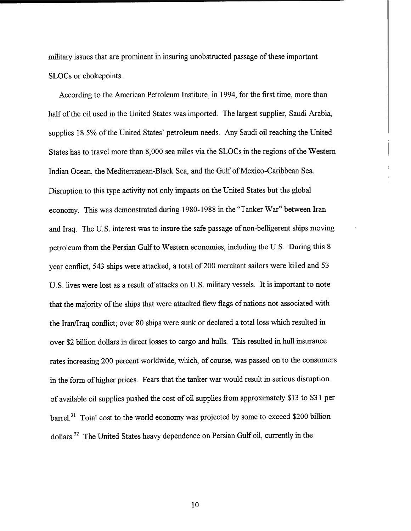military issues that are prominent in insuring unobstructed passage of these important SLOCs or chokepoints.

According to the American Petroleum Institute, in 1994, for the first time, more than half of the oil used in the United States was imported. The largest supplier, Saudi Arabia, supplies 18.5% of the United States' petroleum needs. Any Saudi oil reaching the United States has to travel more than 8,000 sea miles via the SLOCs in the regions of the Western Indian Ocean, the Mediterranean-Black Sea, and the Gulf of Mexico-Caribbean Sea. Disruption to this type activity not only impacts on the United States but the global economy. This was demonstrated during 1980- 1988 in the "Tanker War" between Iran and Iraq. The U.S. interest was to insure the safe passage of non-belligerent ships moving petroleum from the Persian Gulf to Western economies, including the U.S. During this 8 year conflict, 543 ships were attacked, a total of 200 merchant sailors were killed and 53 U.S. lives were lost as a result of attacks on U.S. military vessels. It is important to note that the majority of the ships that were attacked flew flags of nations not associated with the Iran/Iraq conflict; over 80 ships were sunk or declared a total loss which resulted in over \$2 billion dollars in direct losses to cargo and hulls. This resulted in hull insurance rates increasing 200 percent worldwide, which, of course, was passed on to the consumers in the form of higher prices. Fears that the tanker war would result in serious disruption of available oil supplies pushed the cost of oil supplies from approximately \$13 to \$3 1 per barrel.<sup>31</sup> Total cost to the world economy was projected by some to exceed \$200 billion dollars.32 The United States heavy dependence on Persian Gulf oil, currently in the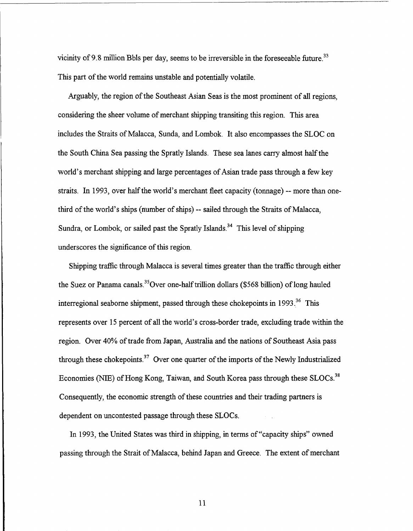vicinity of 9.8 million Bbls per day, seems to be irreversible in the foreseeable future.<sup>33</sup> This part of the world remains unstable and potentially volatile.

Arguably, the region of the Southeast Asian Seas is the most prominent of all regions, considering the sheer volume of merchant shipping transiting this region. This area includes the Straits of Malacca, Sunda, and Lombok. It also encompasses the SLOC on the South China Sea passing the Spratly Islands. These sea lanes carry almost half the world's merchant shipping and large percentages of Asian trade pass through a few key straits. In 1993, over half the world's merchant fleet capacity (tonnage) -- more than onethird of the world's ships (number of ships) -- sailed through the Straits of Malacca, Sundra, or Lombok, or sailed past the Spratly Islands.<sup>34</sup> This level of shipping underscores the significance of this region.

Shipping traffic through Malacca is several times greater than the traffic through either the Suez or Panama canals.<sup>35</sup>Over one-half trillion dollars (\$568 billion) of long hauled interregional seaborne shipment, passed through these chokepoints in 1993.<sup>36</sup> This represents over 15 percent of all the world's cross-border trade, excluding trade within the region. Over 40% of trade from Japan, Australia and the nations of Southeast Asia pass through these chokepoints.<sup>37</sup> Over one quarter of the imports of the Newly Industrialized Economies (NIE) of Hong Kong, Taiwan, and South Korea pass through these SLOCs.<sup>38</sup> Consequently, the economic strength of these countries and their trading partners is dependent on uncontested passage through these SLOCs.

In 1993, the United States was third in shipping, in terms of "capacity ships" owned passing through the Strait of Malacca, behind Japan and Greece. The extent of merchant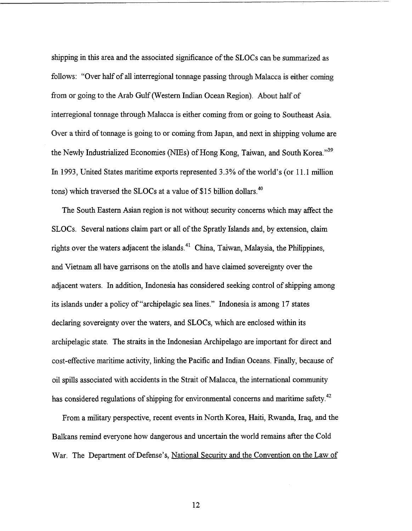shipping in this area and the associated significance of the SLOCs can be summarized as follows: "Over half of all interregional tonnage passing through Malacca is either coming from or going to the Arab Gulf (Western Indian Ocean Region). About half of interregional tonnage through Malacca is either coming from or going to Southeast Asia. Over a third of tonnage is going to or coming from Japan, and next in shipping volume are the Newly Industrialized Economies (NIEs) of Hong Kong, Taiwan, and South Korea."<sup>39</sup> In 1993, United States maritime exports represented 3.3% of the world's (or 11.1 million tons) which traversed the SLOCs at a value of \$15 billion dollars.<sup>40</sup>

The South Eastern Asian region is not without security concerns which may affect the SLOCs. Several nations claim part or all of the Spratly Islands and, by extension, claim rights over the waters adjacent the islands.<sup>41</sup> China, Taiwan, Malaysia, the Philippines, and Vietnam all have garrisons on the atolls and have claimed sovereignty over the adjacent waters. In addition, Indonesia has considered seeking control of shipping among its islands under a policy of "archipelagic sea lines." Indonesia is among 17 states declaring sovereignty over the waters, and SLOCs, which are enclosed within its archipelagic state. The straits in the Indonesian Archipelago are important for direct and cost-effective maritime activity, linking the Pacific and Indian Oceans. Finally, because of oil spills associated with accidents in the Strait of Malacca, the international community has considered regulations of shipping for environmental concerns and maritime safety.<sup>42</sup>

From a military perspective, recent events in North Korea, Haiti, Rwanda, Iraq, and the Balkans remind everyone how dangerous and uncertain the world remains after the Cold War. The Department of Defense's, National Security and the Convention on the Law of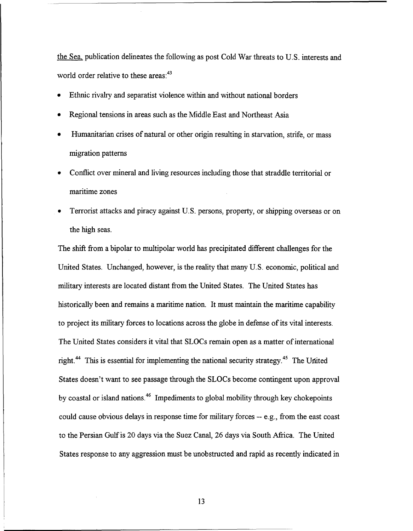the Sea, publication delineates the following as post Cold War threats to U.S. interests and world order relative to these areas:<sup>43</sup>

- Ethnic rivalry and separatist violence within and without national borders
- Regional tensions in areas such as the Middle East and Northeast Asia
- Humanitarian crises of natural or other origin resulting in starvation, strife, or mass migration patterns
- Conflict over mineral and living resources including those that straddle territorial or maritime zones
- Terrorist attacks and piracy against U.S. persons, property, or shipping overseas or on the high seas.

The shift from a bipolar to multipolar world has precipitated different challenges for the United States. Unchanged, however, is the reality that many U.S. economic, political and military interests are located distant from the United States. The United States has historically been and remains a maritime nation. It must maintain the maritime capability to project its military forces to locations across the globe in defense of its vital interests. The United States considers it vital that SLOCs remain open as a matter of international right.<sup>44</sup> This is essential for implementing the national security strategy.<sup>45</sup> The United States doesn't want to see passage through the SLOCs become contingent upon approval by coastal or island nations.46 Impediments to global mobility through key chokepoints could cause obvious delays in response time for military forces -- e.g., from the east coast to the Persian Gulf is 20 days via the Suez Canal, *26* days via South Africa. The United States response to any aggression must be unobstructed and rapid as recently indicated in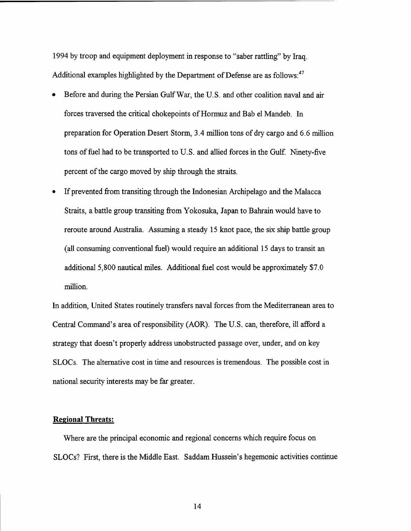1994 by troop and equipment deployment in response to "saber rattling" by Iraq. Additional examples highlighted by the Department of Defense are as follows:<sup>47</sup>

- Before and during the Persian Gulf War, the U.S. and other coalition naval and air forces traversed the critical chokepoints of Hormuz and Bab el Mandeb. In preparation for Operation Desert Storm, 3.4 million tons of dry cargo and 6.6 million tons of fuel had to be transported to U.S. and allied forces in the Gulf. Ninety-five percent of the cargo moved by ship through the straits.
- $\bullet$ If prevented from transiting through the Indonesian Archipelago and the Malacca Straits, a battle group transiting from Yokosuka, Japan to Bahrain would have to reroute around Australia. Assuming a steady 15 knot pace, the six ship battle group (all consuming conventional fuel) would require an additional 15 days to transit an additional 5,800 nautical miles. Additional fuel cost would be approximately \$7.0 million.

In addition, United States routinely transfers naval forces from the Mediterranean area to Central Command's area of responsibility (AOR). The U.S. can, therefore, ill afford a strategy that doesn't properly address unobstructed passage over, under, and on key SLOCs. The alternative cost in time and resources is tremendous. The possible cost in national security interests may be far greater.

#### **Regional Threats:**

Where are the principal economic and regional concerns which require focus on SLOCs? First, there is the Middle East. Saddam Hussein's hegemonic activities continue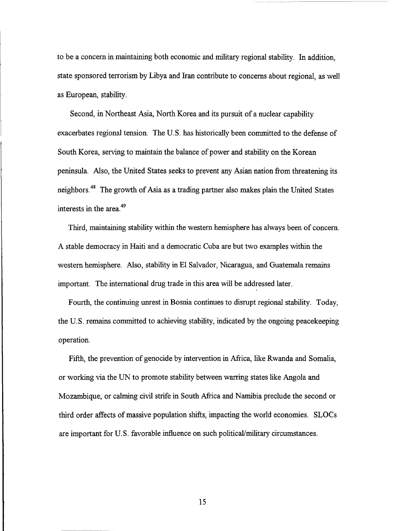to be a concern in maintaining both economic and military regional stability. In addition, state sponsored terrorism by Libya and Iran contribute to concerns about regional, as well as European, stability.

Second, in Northeast Asia, North Korea and its pursuit of a nuclear capability exacerbates regional tension. The U.S. has historically been committed to the defense of South Korea, serving to maintain the balance of power and stability on the Korean peninsula. Also, the United States seeks to prevent any Asian nation from threatening its neighbors.48 The growth of Asia as a trading partner also makes plain the United States interests in the area.<sup>49</sup>

Third, maintaining stability within the western hemisphere has always been of concern. A stable democracy in Haiti and a democratic Cuba are but two examples within the western hemisphere. Also, stability in El Salvador, Nicaragua, and Guatemala remains important. The international drug trade in this area will be addressed later.

Fourth, the continuing unrest in Bosnia continues to disrupt regional stability. Today, the U. S. remains committed to achieving stability, indicated by the ongoing peacekeeping operation.

Fifth, the prevention of genocide by intervention in Africa, like Rwanda and Somalia, or working via the UN to promote stability between warring states like Angola and Mozambique, or calming civil strife in South Africa and Namibia preclude the second or third order affects of massive population shifts, impacting the world economies. SLOCs are important for U.S. favorable influence on such politicaVmilitary circumstances.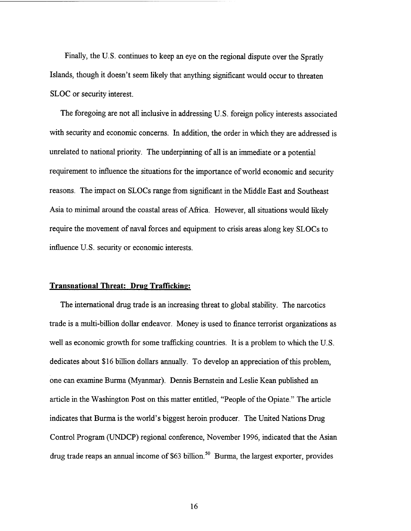Finally, the U.S. continues to keep an eye on the regional dispute over the Spratly Islands, though it doesn't seem likely that anything significant would occur to threaten SLOC or security interest.

The foregoing are not all inclusive in addressing U.S. foreign policy interests associated with security and economic concerns. In addition, the order in which they are addressed is unrelated to national priority. The underpinning of all is an immediate or a potential requirement to influence the situations for the importance of world economic and security reasons. The impact on SLOCs range from significant in the Middle East and Southeast Asia to minimal around the coastal areas of Africa. However, all situations would likely require the movement of naval forces and equipment to crisis areas along key SLOCs to influence U. S. security or economic interests.

## **Transnational Threat: Drug Trafficking:**

The international drug trade is an increasing threat to global stability. The narcotics trade is a multi-billion dollar endeavor. Money is used to finance terrorist organizations as well as economic growth for some trafficking countries. It is a problem to which the U.S. dedicates about \$16 billion dollars annually. To develop an appreciation of this problem, one can examine Burma (Myanmar). Dennis Bernstein and Leslie Kean published an article in the Washington Post on this matter entitled, "People of the Opiate." The article indicates that Burma is the world's biggest heroin producer. The United Nations Drug Control Program (UNDCP) regional conference, November 1996, indicated that the Asian drug trade reaps an annual income of \$63 billion.<sup>50</sup> Burma, the largest exporter, provides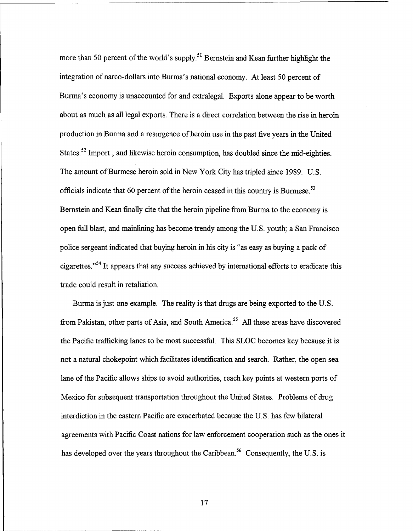more than 50 percent of the world's supply.<sup>51</sup> Bernstein and Kean further highlight the integration of narco-dollars into Burma's national economy. At least 50 percent of Burma's economy is unaccounted for and extralegal. Exports alone appear to be worth about as much as all legal exports. There is a direct correlation between the rise in heroin production in Burma and a resurgence of heroin use in the past five years in the United States.<sup>52</sup> Import, and likewise heroin consumption, has doubled since the mid-eighties. The amount of Burmese heroin sold in New York City has tripled since 1989. U.S. officials indicate that 60 percent of the heroin ceased in this country is Burmese. $^{53}$ Bernstein and Kean finally cite that the heroin pipeline from Burma to the economy is open full blast, and mainlining has become trendy among the U.S. youth; a San Francisco police sergeant indicated that buying heroin in his city is "as easy as buying a pack of cigarettes."54 It appears that any success achieved by international efforts to eradicate this trade could result in retaliation.

Burma is just one example. The reality is that drugs are being exported to the U. S. from Pakistan, other parts of Asia, and South America.<sup>55</sup> All these areas have discovered the Pacific trafficking lanes to be most successfid. This SLOC becomes key because it is not a natural chokepoint which facilitates identification and search. Rather, the open sea lane of the Pacific allows ships to avoid authorities, reach key points at western ports of Mexico for subsequent transportation throughout the United States. Problems of drug interdiction in the eastern Pacific are exacerbated because the U.S. has few bilateral agreements with Pacific Coast nations for law enforcement cooperation such as the ones it has developed over the years throughout the Caribbean.<sup>56</sup> Consequently, the U.S. is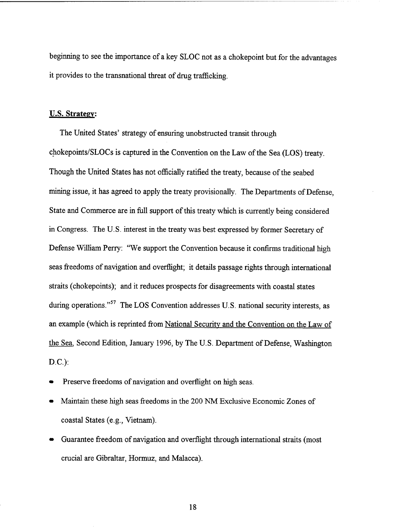beginning to see the importance of a key SLOC not as a chokepoint but for the advantages it provides to the transnational threat of drug trafficking.

#### **U.S. Strategy:**

The United States' strategy of ensuring unobstructed transit through chokepoints/SLOCs is captured in the Convention on the Law of the Sea (LOS) treaty. Though the United States has not officially ratified the treaty, because of the seabed mining issue, it has agreed to apply the treaty provisionally. The Departments of Defense, State and Commerce are in full support of this treaty which is currently being considered in Congress. The U.S. interest in the treaty was best expressed by former Secretary of Defense William Perry: "We support the Convention because it confirms traditional high seas freedoms of navigation and overflight; it details passage rights through international straits (chokepoints); and it reduces prospects for disagreements with coastal states during operations."<sup>57</sup> The LOS Convention addresses U.S. national security interests, as an example (which is reprinted from National Securitv and the Convention on the Law of the Sea, Second Edition, January 1996, by The U. S. Department of Defense, Washington D.C.):

- Preserve freedoms of navigation and overflight on high seas.
- Maintain these high seas freedoms in the 200 NM Exclusive Economic Zones of coastal States (e.g., Vietnam).
- Guarantee freedom of navigation and overflight through international straits (most crucial are Gibraltar, Hormuz, and Malacca).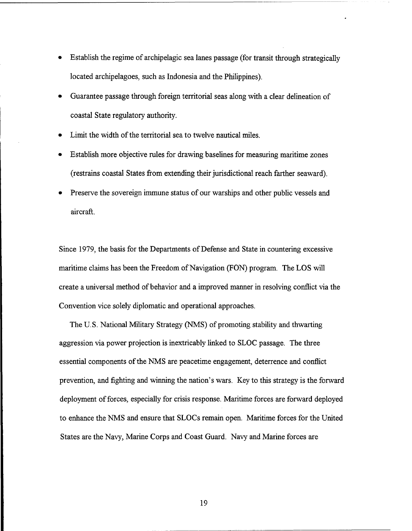- Establish the regime of archipelagic sea lanes passage (for transit through strategically located archipelagoes, such as Indonesia and the Philippines).
- Guarantee passage through foreign territorial seas along with a clear delineation of coastal State regulatory authority.
- Limit the width of the territorial sea to twelve nautical miles.
- Establish more objective rules for drawing baselines for measuring maritime zones (restrains coastal States fiom extending their jurisdictional reach farther seaward).
- Preserve the sovereign immune status of our warships and other public vessels and aircraft.

Since 1979, the basis for the Departments of Defense and State in countering excessive maritime claims has been the Freedom of Navigation (FON) program. The LOS will create a universal method of behavior and a improved manner in resolving conflict via the Convention vice solely diplomatic and operational approaches.

The U.S. National Military Strategy (NMS) of promoting stability and thwarting aggression via power projection is inextricably linked to SLOC passage. The three essential components of the NMS are peacetime engagement, deterrence and conflict prevention, and fighting and winning the nation's wars. Key to this strategy is the forward deployment of forces, especially for crisis response. Maritime forces are forward deployed to enhance the NMS and ensure that SLOCs remain open. Maritime forces for the United States are the Navy, Marine Corps and Coast Guard. Navy and Marine forces are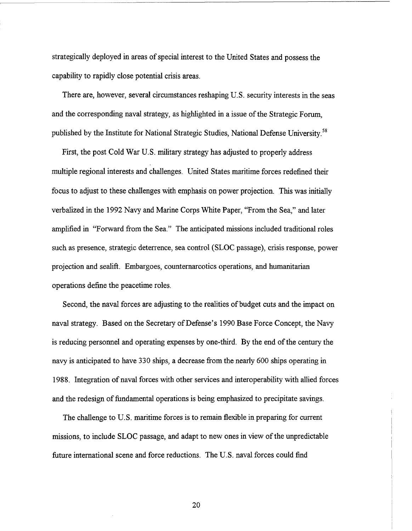strategically deployed in areas of special interest to the United States and possess the capability to rapidly close potential crisis areas.

There are, however, several circumstances reshaping U.S. security interests in the seas and the corresponding naval strategy, as highlighted in a issue of the Strategic Forum, published by the Institute for National Strategic Studies, National Defense University.<sup>58</sup>

First, the post Cold War U.S. military strategy has adjusted to properly address multiple regional interests and challenges. United States maritime forces redefined their focus to adjust to these challenges with emphasis on power projection. This was initially verbalized in the 1992 Navy and Marine Corps White Paper, "From the Sea," and later amplified in "Forward from the Sea." The anticipated missions included traditional roles such as presence, strategic deterrence, sea control (SLOC passage), crisis response, power projection and sealift. Embargoes, counternarcotics operations, and humanitarian operations define the peacetime roles.

Second, the naval forces are adjusting to the realities of budget cuts and the impact on naval strategy. Based on the Secretary of Defense's 1990 Base Force Concept, the Navy is reducing personnel and operating expenses by one-third. By the end of the century the navy is anticipated to have 330 ships, a decrease from the nearly 600 ships operating in 1988. Integration of naval forces with other services and interoperability with allied forces and the redesign of fundamental operations is being emphasized to precipitate savings.

The challenge to U.S. maritime forces is to remain flexible in preparing for current missions, to include SLOC passage, and adapt to new ones in view of the unpredictable future international scene and force reductions. The U.S. naval forces could find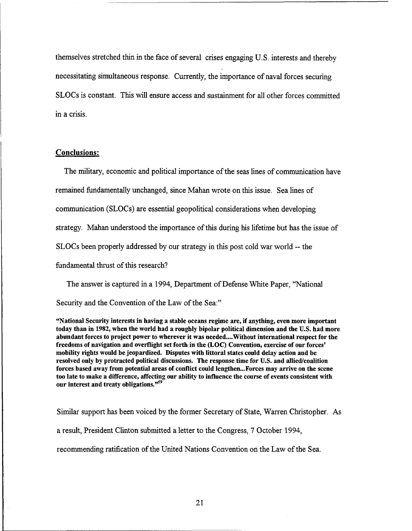themselves stretched thin in the face of several crises engaging U.S. interests and thereby necessitating simultaneous response. Currently, the importance of naval forces securing SLOCs is constant. This will ensure access and sustainment for all other forces committed in a crisis.

# **Conclusions:**

The military, economic and political importance of the seas lines of communication have remained fundamentally unchanged, since Mahan wrote on this issue. Sea lines of communication (SLOCs) are essential geopolitical considerations when developing strategy. Mahan understood the importance of this during his lifetime but has the issue of SLOCs been properly addressed by our strategy in this post cold war world -- the fundamental thrust of this research?

The answer is captured in a 1994, Department of Defense White Paper, "National Security and the Convention of the Law of the Sea:"

"National Security interests in having a stable oceans regime are, if anything, even more important today than in 1982, when the world had a roughly bipolar political dimension and the U.S. had more abundant forces to project power to wherever it was needed....Without international respect for the freedoms of navigation and overflight set forth in the (LOC) Convention, exercise of our forces' mobility rights would be jeopardized. Disputes with littoral states could delay action and be resolved only by protracted political discussions. The response time for U.S. and allied/coalition forces based away from potential areas of conflict could lengthen... Forces may arrive on the scene too late to make a difference, affecting our ability to influence the course of events consistent with our interest and treaty obligations."<sup>59</sup>

Similar support has been voiced by the former Secretary of State, Warren Christopher. As a result, President Clinton submitted a letter to the Congress, 7 October 1994, recommending ratification of the United Nations Convention on the Law of the Sea.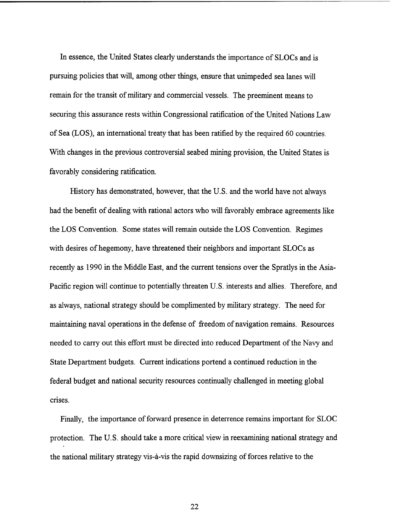In essence, the United States clearly understands the importance of SLOCs and is pursuing policies that will, among other things, ensure that unimpeded sea lanes will remain for the transit of military and commercial vessels. The preeminent means to securing this assurance rests within Congressional ratification of the United Nations Law of Sea (LOS), an international treaty that has been ratified by the required 60 countries. With changes in the previous controversial seabed mining provision, the United States is favorably considering ratification.

History has demonstrated, however, that the U.S. and the world have not always had the benefit of dealing with rational actors who will favorably embrace agreements like the LOS Convention. Some states will remain outside the LOS Convention. Regimes with desires of hegemony, have threatened their neighbors and important SLOCs as recently as 1990 in the Middle East, and the current tensions over the Spratlys in the Asia-Pacific region will continue to potentially threaten U.S. interests and allies. Therefore, and as always, national strategy should be complimented by military strategy. The need for maintaining naval operations in the defense of fieedom of navigation remains. Resources needed to carry out this effort must be directed into reduced Department of the Navy and State Department budgets. Current indications portend a continued reduction in the federal budget and national security resources continually challenged in meeting global crises.

Finally, the importance of forward presence in deterrence remains important for SLOC protection. The U.S. should take a more critical view in reexamining national strategy and the national military strategy vis-a-vis the rapid downsizing of forces relative to the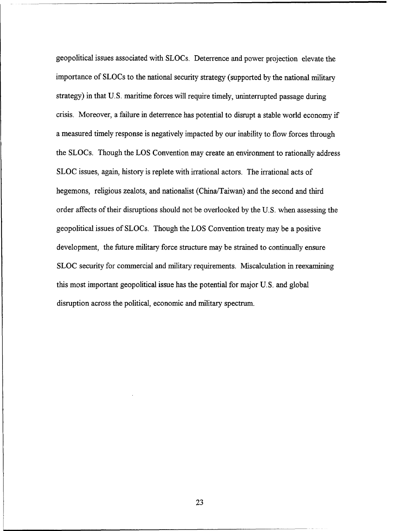geopolitical issues associated with SLOCs. Deterrence and power projection elevate the importance of SLOCs to the national security strategy (supported by the national military strategy) in that U.S. maritime forces will require timely, uninterrupted passage during crisis. Moreover, a failure in deterrence has potential to disrupt a stable world economy if a measured timely response is negatively impacted by our inability to flow forces through the SLOCs. Though the LOS Convention may create an environment to rationally address SLOC issues, again, history is replete with irrational actors. The irrational acts of hegemons, religious zealots, and nationalist (China/Taiwan) and the second and third order affects of their disruptions should not be overlooked by the U.S. when assessing the geopolitical issues of SLOCs. Though the LOS Convention treaty may be a positive development, the future military force structure may be strained to continually ensure SLOC security for commercial and military requirements. Miscalculation in reexamining this most important geopolitical issue has the potential for major U.S. and global disruption across the political, economic and military spectrum.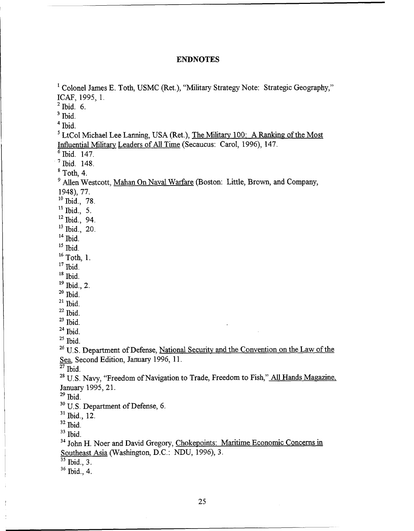# **ENDNOTES**

<sup>1</sup> Colonel James E. Toth, USMC (Ret.), "Military Strategy Note: Strategic Geography," ICAF, 1995, 1.  $2$  Ibid. 6.  $3$  Ibid.  $<sup>4</sup>$  Ibid.</sup> <sup>5</sup>LtCol Michael Lee Lanning, USA (Ret.), The Military 100: A Ranking of the Most Influential Militarv Leaders of **All** Time (Secaucus: Carol, 1996), 147.  $\frac{6}{7}$  Ibid. 147.<br> $\frac{148}{1}$ **<sup>8</sup>**Toth, 4. <sup>9</sup> Allen Westcott, Mahan On Naval Warfare (Boston: Little, Brown, and Company, 1948), 77. **lo** Ibid., **78. l1** Ibid., **5. l2** Ibid., **94. l3** Ibid., 20. **l4** Ibid. **l5** Ibid. **l6** Toth, 1. **l7** Ibid. **ls** Ibid. **l9** Ibid., 2. <sup>20</sup> Ibid. **<sup>21</sup>**Ibid. **<sup>22</sup>**Ibid.  $23$  Ibid. **<sup>24</sup>**Ibid. **<sup>25</sup>**Ibid. <sup>26</sup> U.S. Department of Defense, National Security and the Convention on the Law of the *Sea,* Second Edition, January 1996, 11. **<sup>27</sup>**Ibid. <sup>28</sup> U.S. Navy, "Freedom of Navigation to Trade, Freedom to Fish," All Hands Magazine, January 1995,21.  $29$  Ibid. <sup>30</sup> U.S. Department of Defense, 6. **<sup>31</sup>**Ibid., **12.**  *<sup>32</sup>*Ibid. **<sup>33</sup>**Ibid. <sup>34</sup> John H. Noer and David Gregory, Chokepoints: Maritime Economic Concerns in Southeast Asia (Washington, D.C.: NDU, 1996), **3.**   $35$  Ibid.,  $3$ . **36** Ibid., 4.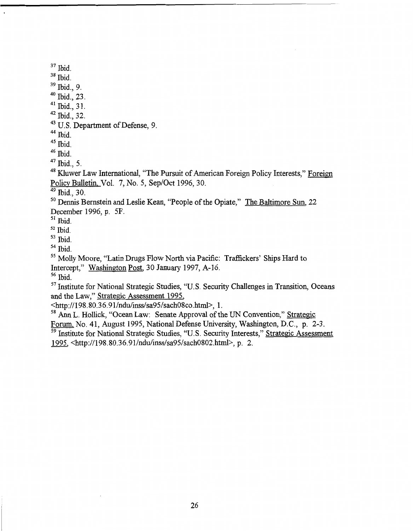$37$  Ibid.

38 Ibid.

 $39$  Ibid., 9.

 $40$  Ibid., 23.

 $41$  Ibid., 31.

**<sup>42</sup>**Ibid., 32.

43 U.S. Department of Defense, 9.

 $44$  Ibid.

 $45$  Ibid.

46 Ibid.

**<sup>47</sup>**Ibid., 5.

48 Kluwer Law International, "The Pursuit of American Foreign Policy Interests," Foreign Policv Bulletin, Vol. 7, No. 5, Sep/Oct 1996, 30.

 $49$  Ibid., 30.

<sup>50</sup> Dennis Bernstein and Leslie Kean, "People of the Opiate," The Baltimore Sun, 22 December 1996, p. 5F.

 $51$  Ibid.

**<sup>52</sup>**Ibid.

- 53 Ibid.
- 54 Ibid.

55 Molly Moore, "Latin Drugs Flow North via Pacific: Traffickers' Ships Hard to

Intercept," Washington Post, 30 January 1997, A-16.

56 Ibid.

<sup>57</sup> Institute for National Strategic Studies, "U.S. Security Challenges in Transition, Oceans and the Law," Strategic Assessment 1995,

<http://198.80.3 6.9 **1/ndu/inss/sa95/sach08co.html>,** 1.

<sup>58</sup> Ann L. Hollick, "Ocean Law: Senate Approval of the UN Convention," Strategic

Forum, No. 41, August 1995, National Defense University, Washington, D.C., p. 2-3.

<sup>59</sup> Institute for National Strategic Studies, "U.S. Security Interests," Strategic Assessment 1995, <http://198.80.36.91/ndu/inss/sa95/sach0802.html>.p. 2.